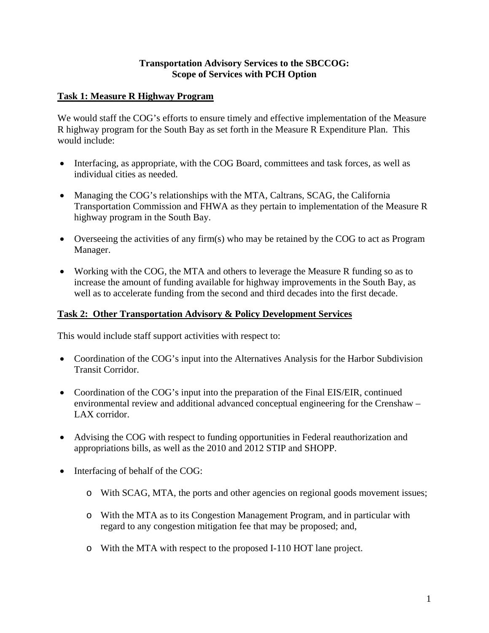## **Transportation Advisory Services to the SBCCOG: Scope of Services with PCH Option**

## **Task 1: Measure R Highway Program**

We would staff the COG's efforts to ensure timely and effective implementation of the Measure R highway program for the South Bay as set forth in the Measure R Expenditure Plan. This would include:

- Interfacing, as appropriate, with the COG Board, committees and task forces, as well as individual cities as needed.
- Managing the COG's relationships with the MTA, Caltrans, SCAG, the California Transportation Commission and FHWA as they pertain to implementation of the Measure R highway program in the South Bay.
- Overseeing the activities of any firm(s) who may be retained by the COG to act as Program Manager.
- Working with the COG, the MTA and others to leverage the Measure R funding so as to increase the amount of funding available for highway improvements in the South Bay, as well as to accelerate funding from the second and third decades into the first decade.

## **Task 2: Other Transportation Advisory & Policy Development Services**

This would include staff support activities with respect to:

- Coordination of the COG's input into the Alternatives Analysis for the Harbor Subdivision Transit Corridor.
- Coordination of the COG's input into the preparation of the Final EIS/EIR, continued environmental review and additional advanced conceptual engineering for the Crenshaw – LAX corridor.
- Advising the COG with respect to funding opportunities in Federal reauthorization and appropriations bills, as well as the 2010 and 2012 STIP and SHOPP.
- Interfacing of behalf of the COG:
	- o With SCAG, MTA, the ports and other agencies on regional goods movement issues;
	- o With the MTA as to its Congestion Management Program, and in particular with regard to any congestion mitigation fee that may be proposed; and,
	- o With the MTA with respect to the proposed I-110 HOT lane project.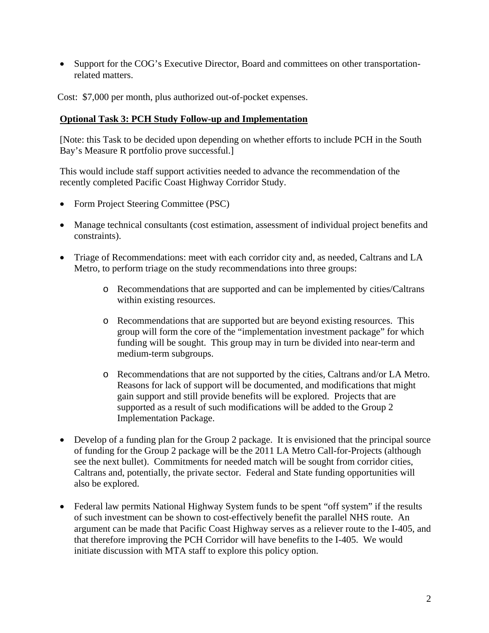• Support for the COG's Executive Director, Board and committees on other transportationrelated matters.

Cost: \$7,000 per month, plus authorized out-of-pocket expenses.

## **Optional Task 3: PCH Study Follow-up and Implementation**

[Note: this Task to be decided upon depending on whether efforts to include PCH in the South Bay's Measure R portfolio prove successful.]

This would include staff support activities needed to advance the recommendation of the recently completed Pacific Coast Highway Corridor Study.

- Form Project Steering Committee (PSC)
- Manage technical consultants (cost estimation, assessment of individual project benefits and constraints).
- Triage of Recommendations: meet with each corridor city and, as needed, Caltrans and LA Metro, to perform triage on the study recommendations into three groups:
	- o Recommendations that are supported and can be implemented by cities/Caltrans within existing resources.
	- o Recommendations that are supported but are beyond existing resources. This group will form the core of the "implementation investment package" for which funding will be sought. This group may in turn be divided into near-term and medium-term subgroups.
	- o Recommendations that are not supported by the cities, Caltrans and/or LA Metro. Reasons for lack of support will be documented, and modifications that might gain support and still provide benefits will be explored. Projects that are supported as a result of such modifications will be added to the Group 2 Implementation Package.
- Develop of a funding plan for the Group 2 package. It is envisioned that the principal source of funding for the Group 2 package will be the 2011 LA Metro Call-for-Projects (although see the next bullet). Commitments for needed match will be sought from corridor cities, Caltrans and, potentially, the private sector. Federal and State funding opportunities will also be explored.
- Federal law permits National Highway System funds to be spent "off system" if the results of such investment can be shown to cost-effectively benefit the parallel NHS route. An argument can be made that Pacific Coast Highway serves as a reliever route to the I-405, and that therefore improving the PCH Corridor will have benefits to the I-405. We would initiate discussion with MTA staff to explore this policy option.